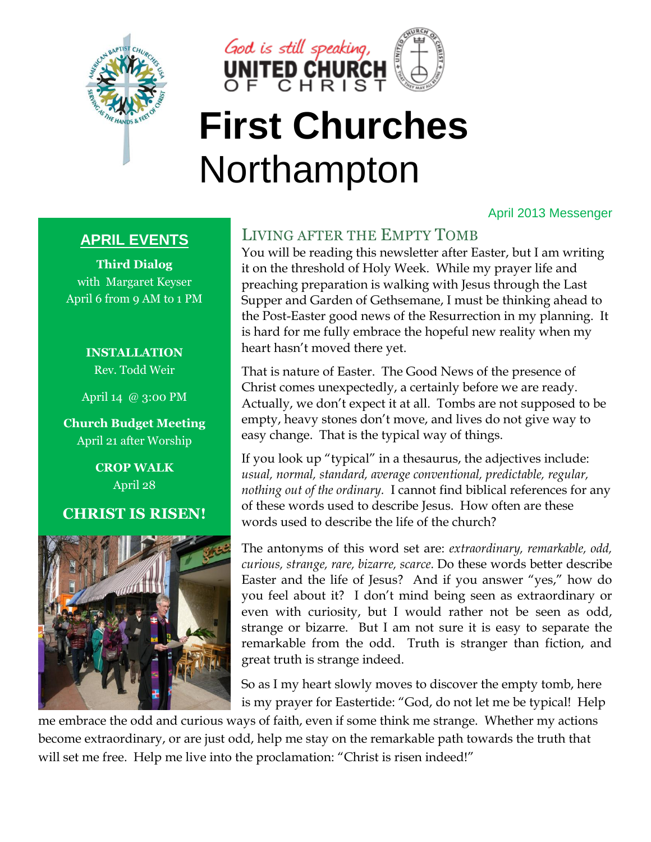



## **First Churches** Northampton

#### April 2013 Messenger

#### **APRIL EVENTS**

**Third Dialog** with Margaret Keyser April 6 from 9 AM to 1 PM

> **INSTALLATION** Rev. Todd Weir

April 14 @ 3:00 PM

**Church Budget Meeting**  April 21 after Worship

> **CROP WALK** April 28

#### **CHRIST IS RISEN!**



## LIVING AFTER THE EMPTY TOMB

You will be reading this newsletter after Easter, but I am writing it on the threshold of Holy Week. While my prayer life and preaching preparation is walking with Jesus through the Last Supper and Garden of Gethsemane, I must be thinking ahead to the Post-Easter good news of the Resurrection in my planning. It is hard for me fully embrace the hopeful new reality when my heart hasn't moved there yet.

That is nature of Easter. The Good News of the presence of Christ comes unexpectedly, a certainly before we are ready. Actually, we don't expect it at all. Tombs are not supposed to be empty, heavy stones don't move, and lives do not give way to easy change. That is the typical way of things.

If you look up "typical" in a thesaurus, the adjectives include: *usual, normal, standard, average conventional, predictable, regular, nothing out of the ordinary.* I cannot find biblical references for any of these words used to describe Jesus. How often are these words used to describe the life of the church?

The antonyms of this word set are: *extraordinary, remarkable, odd, curious, strange, rare, bizarre, scarce.* Do these words better describe Easter and the life of Jesus? And if you answer "yes," how do you feel about it? I don't mind being seen as extraordinary or even with curiosity, but I would rather not be seen as odd, strange or bizarre. But I am not sure it is easy to separate the remarkable from the odd. Truth is stranger than fiction, and great truth is strange indeed.

So as I my heart slowly moves to discover the empty tomb, here is my prayer for Eastertide: "God, do not let me be typical! Help

me embrace the odd and curious ways of faith, even if some think me strange. Whether my actions become extraordinary, or are just odd, help me stay on the remarkable path towards the truth that will set me free. Help me live into the proclamation: "Christ is risen indeed!"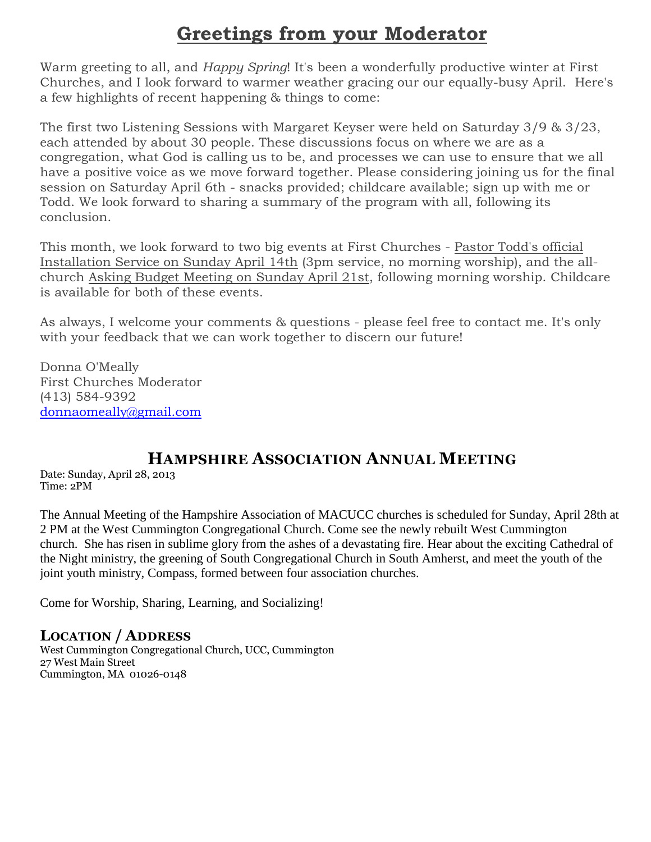## **Greetings from your Moderator**

Warm greeting to all, and *Happy Spring*! It's been a wonderfully productive winter at First Churches, and I look forward to warmer weather gracing our our equally-busy April. Here's a few highlights of recent happening & things to come:

The first two Listening Sessions with Margaret Keyser were held on Saturday 3/9 & 3/23, each attended by about 30 people. These discussions focus on where we are as a congregation, what God is calling us to be, and processes we can use to ensure that we all have a positive voice as we move forward together. Please considering joining us for the final session on Saturday April 6th - snacks provided; childcare available; sign up with me or Todd. We look forward to sharing a summary of the program with all, following its conclusion.

This month, we look forward to two big events at First Churches - Pastor Todd's official Installation Service on Sunday April 14th (3pm service, no morning worship), and the allchurch Asking Budget Meeting on Sunday April 21st, following morning worship. Childcare is available for both of these events.

As always, I welcome your comments & questions - please feel free to contact me. It's only with your feedback that we can work together to discern our future!

Donna O'Meally First Churches Moderator (413) 584-9392 [donnaomeally@gmail.com](mailto:donnaomeally@gmail.com)

## **HAMPSHIRE ASSOCIATION ANNUAL MEETING**

Date: Sunday, April 28, 2013 Time: 2PM

The Annual Meeting of the Hampshire Association of MACUCC churches is scheduled for Sunday, April 28th at 2 PM at the West Cummington Congregational Church. Come see the newly rebuilt West Cummington church. She has risen in sublime glory from the ashes of a devastating fire. Hear about the exciting Cathedral of the Night ministry, the greening of South Congregational Church in South Amherst, and meet the youth of the joint youth ministry, Compass, formed between four association churches.

Come for Worship, Sharing, Learning, and Socializing!

#### **LOCATION / ADDRESS**

West Cummington Congregational Church, UCC, Cummington 27 West Main Street Cummington, MA 01026-0148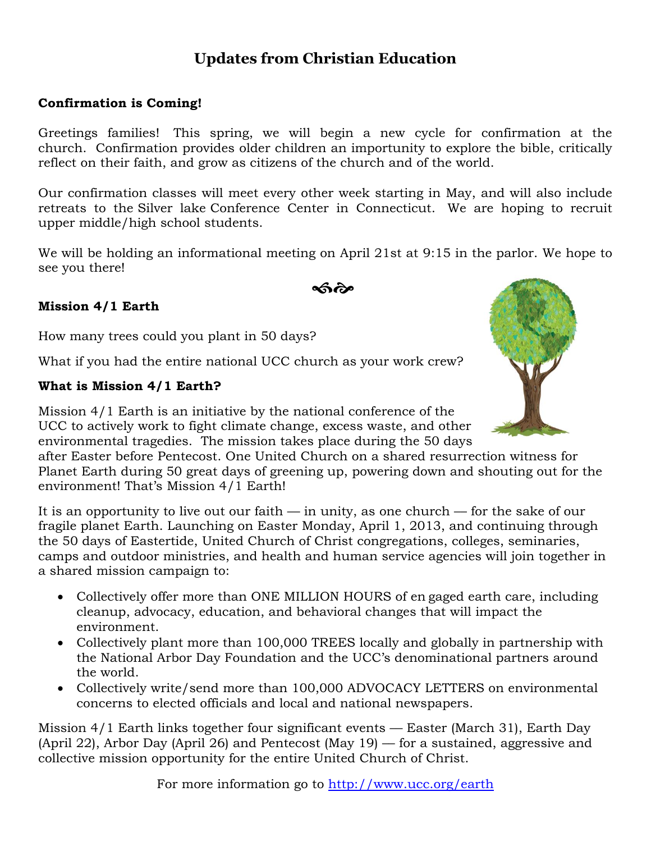## **Updates from Christian Education**

#### **Confirmation is Coming!**

Greetings families! This spring, we will begin a new cycle for confirmation at the church. Confirmation provides older children an importunity to explore the bible, critically reflect on their faith, and grow as citizens of the church and of the world.

Our confirmation classes will meet every other week starting in May, and will also include retreats to the Silver lake Conference Center in Connecticut. We are hoping to recruit upper middle/high school students.

We will be holding an informational meeting on April 21st at 9:15 in the parlor. We hope to see you there!

ക്ര്

#### **Mission 4/1 Earth**

How many trees could you plant in 50 days?

What if you had the entire national UCC church as your work crew?

#### **What is Mission 4/1 Earth?**

Mission 4/1 Earth is an initiative by the national conference of the UCC to actively work to fight climate change, excess waste, and other environmental tragedies. The mission takes place during the 50 days

after Easter before Pentecost. One United Church on a shared resurrection witness for Planet Earth during 50 great days of greening up, powering down and shouting out for the environment! That's Mission 4/1 Earth!

It is an opportunity to live out our faith  $-$  in unity, as one church  $-$  for the sake of our fragile planet Earth. Launching on Easter Monday, April 1, 2013, and continuing through the 50 days of Eastertide, United Church of Christ congregations, colleges, seminaries, camps and outdoor ministries, and health and human service agencies will join together in a shared mission campaign to:

- Collectively offer more than ONE MILLION HOURS of en gaged earth care, including cleanup, advocacy, education, and behavioral changes that will impact the environment.
- Collectively plant more than 100,000 TREES locally and globally in partnership with the National Arbor Day Foundation and the UCC's denominational partners around the world.
- Collectively write/send more than 100,000 ADVOCACY LETTERS on environmental concerns to elected officials and local and national newspapers.

Mission 4/1 Earth links together four significant events –– Easter (March 31), Earth Day (April 22), Arbor Day (April 26) and Pentecost (May 19) — for a sustained, aggressive and collective mission opportunity for the entire United Church of Christ.

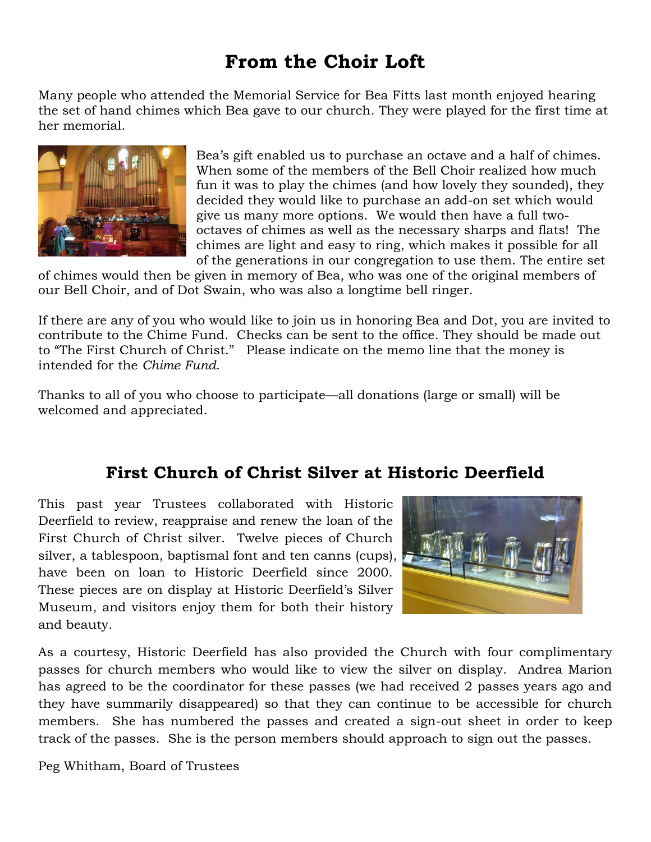## **From the Choir Loft**

Many people who attended the Memorial Service for Bea Fitts last month enjoyed hearing the set of hand chimes which Bea gave to our church. They were played for the first time at her memorial.



Bea's gift enabled us to purchase an octave and a half of chimes. When some of the members of the Bell Choir realized how much fun it was to play the chimes (and how lovely they sounded), they decided they would like to purchase an add-on set which would give us many more options. We would then have a full twooctaves of chimes as well as the necessary sharps and flats! The chimes are light and easy to ring, which makes it possible for all of the generations in our congregation to use them. The entire set

of chimes would then be given in memory of Bea, who was one of the original members of our Bell Choir, and of Dot Swain, who was also a longtime bell ringer.

If there are any of you who would like to join us in honoring Bea and Dot, you are invited to contribute to the Chime Fund. Checks can be sent to the office. They should be made out to "The First Church of Christ." Please indicate on the memo line that the money is intended for the *Chime Fund.*

Thanks to all of you who choose to participate—all donations (large or small) will be welcomed and appreciated.

## **First Church of Christ Silver at Historic Deerfield**

This past year Trustees collaborated with Historic Deerfield to review, reappraise and renew the loan of the First Church of Christ silver. Twelve pieces of Church silver, a tablespoon, baptismal font and ten canns (cups), have been on loan to Historic Deerfield since 2000. These pieces are on display at Historic Deerfield's Silver Museum, and visitors enjoy them for both their history and beauty.



As a courtesy, Historic Deerfield has also provided the Church with four complimentary passes for church members who would like to view the silver on display. Andrea Marion has agreed to be the coordinator for these passes (we had received 2 passes years ago and they have summarily disappeared) so that they can continue to be accessible for church members. She has numbered the passes and created a sign-out sheet in order to keep track of the passes. She is the person members should approach to sign out the passes.

Peg Whitham, Board of Trustees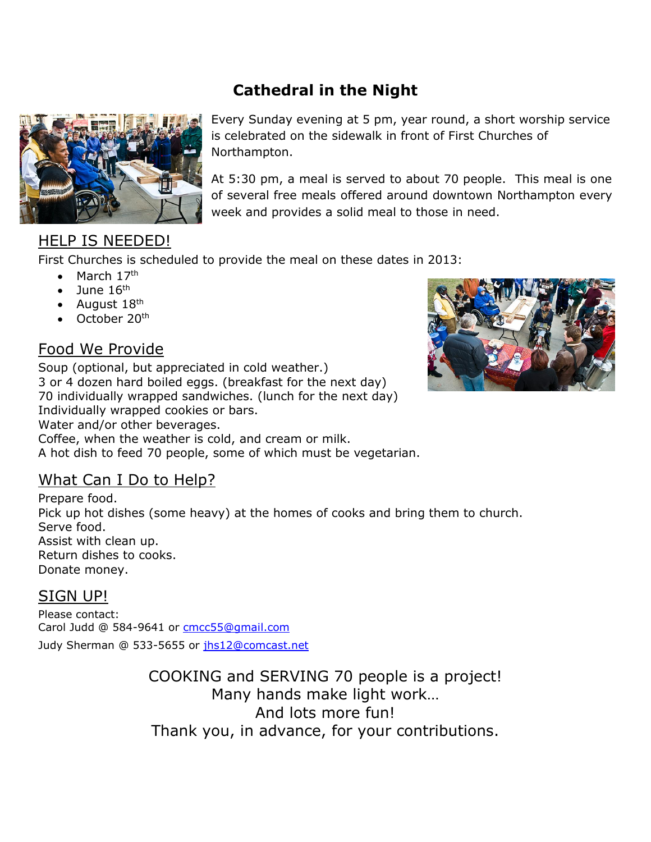## **Cathedral in the Night**



## HELP IS NEEDED!

First Churches is scheduled to provide the meal on these dates in 2013:

- $\bullet$  March 17<sup>th</sup>
- $\bullet$  June 16<sup>th</sup>
- August  $18<sup>th</sup>$
- $\bullet$  October 20<sup>th</sup>

## Food We Provide

Soup (optional, but appreciated in cold weather.) 3 or 4 dozen hard boiled eggs. (breakfast for the next day) 70 individually wrapped sandwiches. (lunch for the next day) Individually wrapped cookies or bars. Water and/or other beverages. Coffee, when the weather is cold, and cream or milk. A hot dish to feed 70 people, some of which must be vegetarian.

## What Can I Do to Help?

Prepare food. Pick up hot dishes (some heavy) at the homes of cooks and bring them to church. Serve food. Assist with clean up. Return dishes to cooks. Donate money.

#### SIGN UP!

Please contact: Carol Judd @ 584-9641 or [cmcc55@gmail.com](mailto:cmcc55@gmail.com) Judy Sherman @ 533-5655 or [jhs12@comcast.net](mailto:jhs12@comcast.net)

> COOKING and SERVING 70 people is a project! Many hands make light work… And lots more fun! Thank you, in advance, for your contributions.



Every Sunday evening at 5 pm, year round, a short worship service is celebrated on the sidewalk in front of First Churches of Northampton.

At 5:30 pm, a meal is served to about 70 people. This meal is one of several free meals offered around downtown Northampton every week and provides a solid meal to those in need.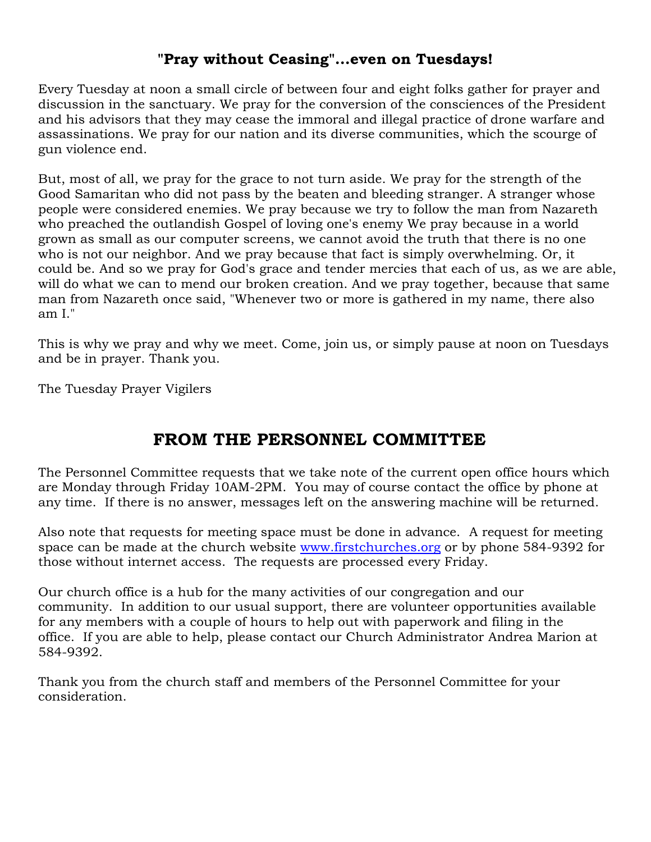#### **"Pray without Ceasing"...even on Tuesdays!**

Every Tuesday at noon a small circle of between four and eight folks gather for prayer and discussion in the sanctuary. We pray for the conversion of the consciences of the President and his advisors that they may cease the immoral and illegal practice of drone warfare and assassinations. We pray for our nation and its diverse communities, which the scourge of gun violence end.

But, most of all, we pray for the grace to not turn aside. We pray for the strength of the Good Samaritan who did not pass by the beaten and bleeding stranger. A stranger whose people were considered enemies. We pray because we try to follow the man from Nazareth who preached the outlandish Gospel of loving one's enemy We pray because in a world grown as small as our computer screens, we cannot avoid the truth that there is no one who is not our neighbor. And we pray because that fact is simply overwhelming. Or, it could be. And so we pray for God's grace and tender mercies that each of us, as we are able, will do what we can to mend our broken creation. And we pray together, because that same man from Nazareth once said, "Whenever two or more is gathered in my name, there also am I."

This is why we pray and why we meet. Come, join us, or simply pause at noon on Tuesdays and be in prayer. Thank you.

The Tuesday Prayer Vigilers

## **FROM THE PERSONNEL COMMITTEE**

The Personnel Committee requests that we take note of the current open office hours which are Monday through Friday 10AM-2PM. You may of course contact the office by phone at any time. If there is no answer, messages left on the answering machine will be returned.

Also note that requests for meeting space must be done in advance. A request for meeting space can be made at the church website [www.firstchurches.org](http://www.firstchurches.org/) or by phone 584-9392 for those without internet access. The requests are processed every Friday.

Our church office is a hub for the many activities of our congregation and our community. In addition to our usual support, there are volunteer opportunities available for any members with a couple of hours to help out with paperwork and filing in the office. If you are able to help, please contact our Church Administrator Andrea Marion at 584-9392.

Thank you from the church staff and members of the Personnel Committee for your consideration.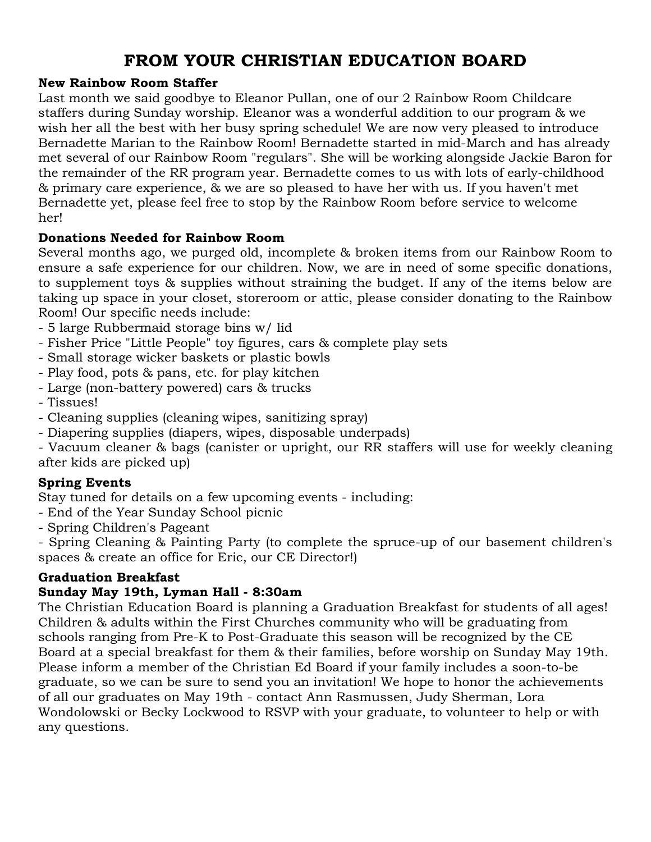## **FROM YOUR CHRISTIAN EDUCATION BOARD**

#### **New Rainbow Room Staffer**

Last month we said goodbye to Eleanor Pullan, one of our 2 Rainbow Room Childcare staffers during Sunday worship. Eleanor was a wonderful addition to our program & we wish her all the best with her busy spring schedule! We are now very pleased to introduce Bernadette Marian to the Rainbow Room! Bernadette started in mid-March and has already met several of our Rainbow Room "regulars". She will be working alongside Jackie Baron for the remainder of the RR program year. Bernadette comes to us with lots of early-childhood & primary care experience, & we are so pleased to have her with us. If you haven't met Bernadette yet, please feel free to stop by the Rainbow Room before service to welcome her!

#### **Donations Needed for Rainbow Room**

Several months ago, we purged old, incomplete & broken items from our Rainbow Room to ensure a safe experience for our children. Now, we are in need of some specific donations, to supplement toys & supplies without straining the budget. If any of the items below are taking up space in your closet, storeroom or attic, please consider donating to the Rainbow Room! Our specific needs include:

- 5 large Rubbermaid storage bins w/ lid
- Fisher Price "Little People" toy figures, cars & complete play sets
- Small storage wicker baskets or plastic bowls
- Play food, pots & pans, etc. for play kitchen
- Large (non-battery powered) cars & trucks
- Tissues!
- Cleaning supplies (cleaning wipes, sanitizing spray)
- Diapering supplies (diapers, wipes, disposable underpads)

- Vacuum cleaner & bags (canister or upright, our RR staffers will use for weekly cleaning after kids are picked up)

#### **Spring Events**

Stay tuned for details on a few upcoming events - including:

- End of the Year Sunday School picnic
- Spring Children's Pageant

- Spring Cleaning & Painting Party (to complete the spruce-up of our basement children's spaces & create an office for Eric, our CE Director!)

#### **Graduation Breakfast**

#### **Sunday May 19th, Lyman Hall - 8:30am**

The Christian Education Board is planning a Graduation Breakfast for students of all ages! Children & adults within the First Churches community who will be graduating from schools ranging from Pre-K to Post-Graduate this season will be recognized by the CE Board at a special breakfast for them & their families, before worship on Sunday May 19th. Please inform a member of the Christian Ed Board if your family includes a soon-to-be graduate, so we can be sure to send you an invitation! We hope to honor the achievements of all our graduates on May 19th - contact Ann Rasmussen, Judy Sherman, Lora Wondolowski or Becky Lockwood to RSVP with your graduate, to volunteer to help or with any questions.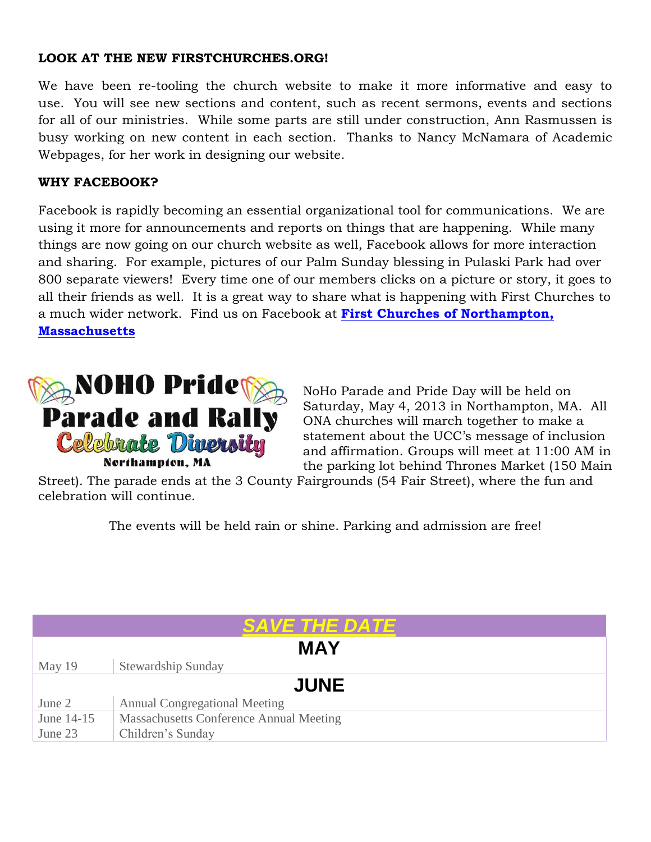#### **LOOK AT THE NEW FIRSTCHURCHES.ORG!**

We have been re-tooling the church website to make it more informative and easy to use. You will see new sections and content, such as recent sermons, events and sections for all of our ministries. While some parts are still under construction, Ann Rasmussen is busy working on new content in each section. Thanks to Nancy McNamara of Academic Webpages, for her work in designing our website.

#### **WHY FACEBOOK?**

Facebook is rapidly becoming an essential organizational tool for communications. We are using it more for announcements and reports on things that are happening. While many things are now going on our church website as well, Facebook allows for more interaction and sharing. For example, pictures of our Palm Sunday blessing in Pulaski Park had over 800 separate viewers! Every time one of our members clicks on a picture or story, it goes to all their friends as well. It is a great way to share what is happening with First Churches to a much wider network. Find us on Facebook at **[First Churches of Northampton,](https://www.facebook.com/firstchurches)  [Massachusetts](https://www.facebook.com/firstchurches)**



NoHo Parade and Pride Day will be held on Saturday, May 4, 2013 in Northampton, MA. All ONA churches will march together to make a statement about the UCC's message of inclusion and affirmation. Groups will meet at 11:00 AM in the parking lot behind Thrones Market (150 Main

Street). The parade ends at the 3 County Fairgrounds (54 Fair Street), where the fun and celebration will continue.

The events will be held rain or shine. Parking and admission are free!

| <i><b>SAVE THE DATE</b></i> |                                         |  |  |  |  |  |  |
|-----------------------------|-----------------------------------------|--|--|--|--|--|--|
| <b>MAY</b>                  |                                         |  |  |  |  |  |  |
| May 19                      | <b>Stewardship Sunday</b>               |  |  |  |  |  |  |
| <b>JUNE</b>                 |                                         |  |  |  |  |  |  |
| June 2                      | <b>Annual Congregational Meeting</b>    |  |  |  |  |  |  |
| June 14-15                  | Massachusetts Conference Annual Meeting |  |  |  |  |  |  |
| June 23                     | Children's Sunday                       |  |  |  |  |  |  |